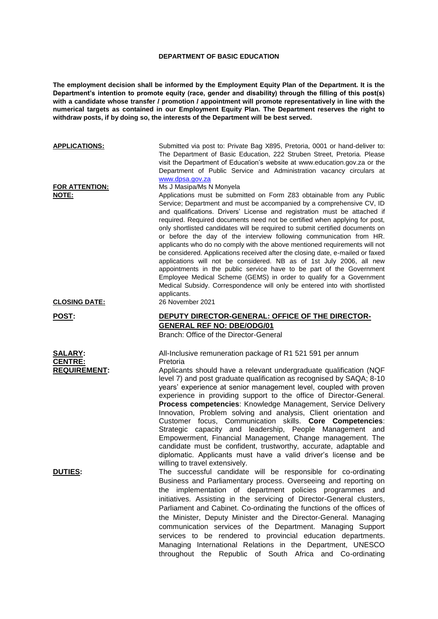## **DEPARTMENT OF BASIC EDUCATION**

**The employment decision shall be informed by the Employment Equity Plan of the Department. It is the Department's intention to promote equity (race, gender and disability) through the filling of this post(s) with a candidate whose transfer / promotion / appointment will promote representatively in line with the numerical targets as contained in our Employment Equity Plan. The Department reserves the right to withdraw posts, if by doing so, the interests of the Department will be best served.**

| <b>APPLICATIONS:</b>                                                      | Submitted via post to: Private Bag X895, Pretoria, 0001 or hand-deliver to:<br>The Department of Basic Education, 222 Struben Street, Pretoria. Please<br>visit the Department of Education's website at www.education.gov.za or the<br>Department of Public Service and Administration vacancy circulars at<br>www.dpsa.gov.za                                                                                                                                                                                                                                                                                                                                                                                                                                                                                                                                                                                                                                                                                                                                                                                                                                                                                                                                                                                                                                                                                                                                                                                                                     |
|---------------------------------------------------------------------------|-----------------------------------------------------------------------------------------------------------------------------------------------------------------------------------------------------------------------------------------------------------------------------------------------------------------------------------------------------------------------------------------------------------------------------------------------------------------------------------------------------------------------------------------------------------------------------------------------------------------------------------------------------------------------------------------------------------------------------------------------------------------------------------------------------------------------------------------------------------------------------------------------------------------------------------------------------------------------------------------------------------------------------------------------------------------------------------------------------------------------------------------------------------------------------------------------------------------------------------------------------------------------------------------------------------------------------------------------------------------------------------------------------------------------------------------------------------------------------------------------------------------------------------------------------|
| FOR ATTENTION:<br>NOTE:                                                   | Ms J Masipa/Ms N Monyela<br>Applications must be submitted on Form Z83 obtainable from any Public<br>Service; Department and must be accompanied by a comprehensive CV, ID<br>and qualifications. Drivers' License and registration must be attached if<br>required. Required documents need not be certified when applying for post,<br>only shortlisted candidates will be required to submit certified documents on<br>or before the day of the interview following communication from HR.<br>applicants who do no comply with the above mentioned requirements will not<br>be considered. Applications received after the closing date, e-mailed or faxed<br>applications will not be considered. NB as of 1st July 2006, all new<br>appointments in the public service have to be part of the Government<br>Employee Medical Scheme (GEMS) in order to qualify for a Government<br>Medical Subsidy. Correspondence will only be entered into with shortlisted<br>applicants.                                                                                                                                                                                                                                                                                                                                                                                                                                                                                                                                                                   |
| <b>CLOSING DATE:</b>                                                      | 26 November 2021                                                                                                                                                                                                                                                                                                                                                                                                                                                                                                                                                                                                                                                                                                                                                                                                                                                                                                                                                                                                                                                                                                                                                                                                                                                                                                                                                                                                                                                                                                                                    |
| <u>POST:</u>                                                              | DEPUTY DIRECTOR-GENERAL: OFFICE OF THE DIRECTOR-<br><b>GENERAL REF NO: DBE/ODG/01</b><br>Branch: Office of the Director-General                                                                                                                                                                                                                                                                                                                                                                                                                                                                                                                                                                                                                                                                                                                                                                                                                                                                                                                                                                                                                                                                                                                                                                                                                                                                                                                                                                                                                     |
| <b>SALARY:</b><br><b>CENTRE:</b><br><b>REQUIREMENT:</b><br><b>DUTIES:</b> | All-Inclusive remuneration package of R1 521 591 per annum<br>Pretoria<br>Applicants should have a relevant undergraduate qualification (NQF<br>level 7) and post graduate qualification as recognised by SAQA; 8-10<br>years' experience at senior management level, coupled with proven<br>experience in providing support to the office of Director-General.<br>Process competencies: Knowledge Management, Service Delivery<br>Innovation, Problem solving and analysis, Client orientation and<br>Customer focus, Communication skills. Core Competencies:<br>Strategic capacity and leadership, People Management and<br>Empowerment, Financial Management, Change management. The<br>candidate must be confident, trustworthy, accurate, adaptable and<br>diplomatic. Applicants must have a valid driver's license and be<br>willing to travel extensively.<br>The successful candidate will be responsible for co-ordinating<br>Business and Parliamentary process. Overseeing and reporting on<br>the implementation of department policies programmes and<br>initiatives. Assisting in the servicing of Director-General clusters,<br>Parliament and Cabinet. Co-ordinating the functions of the offices of<br>the Minister, Deputy Minister and the Director-General. Managing<br>communication services of the Department. Managing Support<br>services to be rendered to provincial education departments.<br>Managing International Relations in the Department, UNESCO<br>throughout the Republic of South Africa and Co-ordinating |
|                                                                           |                                                                                                                                                                                                                                                                                                                                                                                                                                                                                                                                                                                                                                                                                                                                                                                                                                                                                                                                                                                                                                                                                                                                                                                                                                                                                                                                                                                                                                                                                                                                                     |